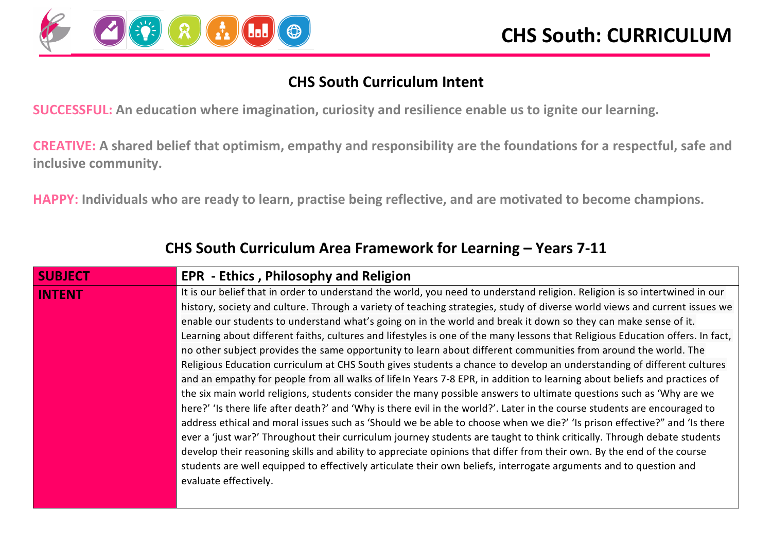

#### **CHS South Curriculum Intent**

**SUCCESSFUL: An education where imagination, curiosity and resilience enable us to ignite our learning.**

**CREATIVE: A shared belief that optimism, empathy and responsibility are the foundations for a respectful, safe and inclusive community.**

**HAPPY: Individuals who are ready to learn, practise being reflective, and are motivated to become champions.**

| <b>SUBJECT</b> | <b>EPR - Ethics, Philosophy and Religion</b>                                                                                  |
|----------------|-------------------------------------------------------------------------------------------------------------------------------|
|                |                                                                                                                               |
| <b>INTENT</b>  | It is our belief that in order to understand the world, you need to understand religion. Religion is so intertwined in our    |
|                | history, society and culture. Through a variety of teaching strategies, study of diverse world views and current issues we    |
|                | enable our students to understand what's going on in the world and break it down so they can make sense of it.                |
|                | Learning about different faiths, cultures and lifestyles is one of the many lessons that Religious Education offers. In fact, |
|                | no other subject provides the same opportunity to learn about different communities from around the world. The                |
|                | Religious Education curriculum at CHS South gives students a chance to develop an understanding of different cultures         |
|                | and an empathy for people from all walks of lifeln Years 7-8 EPR, in addition to learning about beliefs and practices of      |
|                | the six main world religions, students consider the many possible answers to ultimate questions such as 'Why are we           |
|                | here?' 'Is there life after death?' and 'Why is there evil in the world?'. Later in the course students are encouraged to     |
|                | address ethical and moral issues such as 'Should we be able to choose when we die?' 'Is prison effective?" and 'Is there      |
|                | ever a 'just war?' Throughout their curriculum journey students are taught to think critically. Through debate students       |
|                | develop their reasoning skills and ability to appreciate opinions that differ from their own. By the end of the course        |
|                | students are well equipped to effectively articulate their own beliefs, interrogate arguments and to question and             |
|                | evaluate effectively.                                                                                                         |
|                |                                                                                                                               |

#### **CHS South Curriculum Area Framework for Learning – Years 7-11**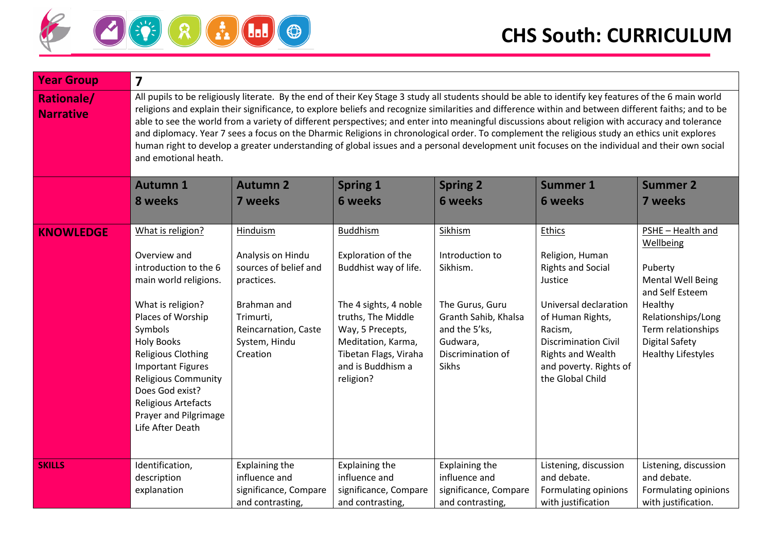

| <b>Year Group</b>                     | 7                                                                                                                                                                                                                                                                                                                                                                                                                                                                                                                                                                                                                                                                                                                                                                                             |                                                                                                                                                              |                                                                                                                                                                                                                    |                                                                                                                                              |                                                                                                                                                                                                                                          |                                                                                                                                                                                                |  |  |  |  |  |
|---------------------------------------|-----------------------------------------------------------------------------------------------------------------------------------------------------------------------------------------------------------------------------------------------------------------------------------------------------------------------------------------------------------------------------------------------------------------------------------------------------------------------------------------------------------------------------------------------------------------------------------------------------------------------------------------------------------------------------------------------------------------------------------------------------------------------------------------------|--------------------------------------------------------------------------------------------------------------------------------------------------------------|--------------------------------------------------------------------------------------------------------------------------------------------------------------------------------------------------------------------|----------------------------------------------------------------------------------------------------------------------------------------------|------------------------------------------------------------------------------------------------------------------------------------------------------------------------------------------------------------------------------------------|------------------------------------------------------------------------------------------------------------------------------------------------------------------------------------------------|--|--|--|--|--|
| <b>Rationale/</b><br><b>Narrative</b> | All pupils to be religiously literate. By the end of their Key Stage 3 study all students should be able to identify key features of the 6 main world<br>religions and explain their significance, to explore beliefs and recognize similarities and difference within and between different faiths; and to be<br>able to see the world from a variety of different perspectives; and enter into meaningful discussions about religion with accuracy and tolerance<br>and diplomacy. Year 7 sees a focus on the Dharmic Religions in chronological order. To complement the religious study an ethics unit explores<br>human right to develop a greater understanding of global issues and a personal development unit focuses on the individual and their own social<br>and emotional heath. |                                                                                                                                                              |                                                                                                                                                                                                                    |                                                                                                                                              |                                                                                                                                                                                                                                          |                                                                                                                                                                                                |  |  |  |  |  |
|                                       | <b>Autumn 1</b>                                                                                                                                                                                                                                                                                                                                                                                                                                                                                                                                                                                                                                                                                                                                                                               | <b>Autumn 2</b><br><b>Summer 1</b><br><b>Summer 2</b><br><b>Spring 1</b><br><b>Spring 2</b>                                                                  |                                                                                                                                                                                                                    |                                                                                                                                              |                                                                                                                                                                                                                                          |                                                                                                                                                                                                |  |  |  |  |  |
|                                       | 8 weeks                                                                                                                                                                                                                                                                                                                                                                                                                                                                                                                                                                                                                                                                                                                                                                                       | 7 weeks                                                                                                                                                      | <b>6 weeks</b>                                                                                                                                                                                                     | <b>6 weeks</b>                                                                                                                               | <b>6 weeks</b>                                                                                                                                                                                                                           | 7 weeks                                                                                                                                                                                        |  |  |  |  |  |
| <b>KNOWLEDGE</b>                      | What is religion?<br>Overview and<br>introduction to the 6<br>main world religions.<br>What is religion?<br>Places of Worship<br>Symbols<br><b>Holy Books</b><br>Religious Clothing<br><b>Important Figures</b><br>Religious Community<br>Does God exist?<br>Religious Artefacts<br>Prayer and Pilgrimage<br>Life After Death                                                                                                                                                                                                                                                                                                                                                                                                                                                                 | <b>Hinduism</b><br>Analysis on Hindu<br>sources of belief and<br>practices.<br>Brahman and<br>Trimurti,<br>Reincarnation, Caste<br>System, Hindu<br>Creation | <b>Buddhism</b><br>Exploration of the<br>Buddhist way of life.<br>The 4 sights, 4 noble<br>truths, The Middle<br>Way, 5 Precepts,<br>Meditation, Karma,<br>Tibetan Flags, Viraha<br>and is Buddhism a<br>religion? | Sikhism<br>Introduction to<br>Sikhism.<br>The Gurus, Guru<br>Granth Sahib, Khalsa<br>and the 5'ks,<br>Gudwara,<br>Discrimination of<br>Sikhs | <b>Ethics</b><br>Religion, Human<br><b>Rights and Social</b><br>Justice<br>Universal declaration<br>of Human Rights,<br>Racism,<br><b>Discrimination Civil</b><br><b>Rights and Wealth</b><br>and poverty. Rights of<br>the Global Child | PSHE - Health and<br>Wellbeing<br>Puberty<br><b>Mental Well Being</b><br>and Self Esteem<br>Healthy<br>Relationships/Long<br>Term relationships<br>Digital Safety<br><b>Healthy Lifestyles</b> |  |  |  |  |  |
| <b>SKILLS</b>                         | Identification,<br>description<br>explanation                                                                                                                                                                                                                                                                                                                                                                                                                                                                                                                                                                                                                                                                                                                                                 | <b>Explaining the</b><br>influence and<br>significance, Compare<br>and contrasting,                                                                          | <b>Explaining the</b><br>influence and<br>significance, Compare<br>and contrasting,                                                                                                                                | <b>Explaining the</b><br>influence and<br>significance, Compare<br>and contrasting,                                                          | Listening, discussion<br>and debate.<br>Formulating opinions<br>with justification                                                                                                                                                       | Listening, discussion<br>and debate.<br>Formulating opinions<br>with justification.                                                                                                            |  |  |  |  |  |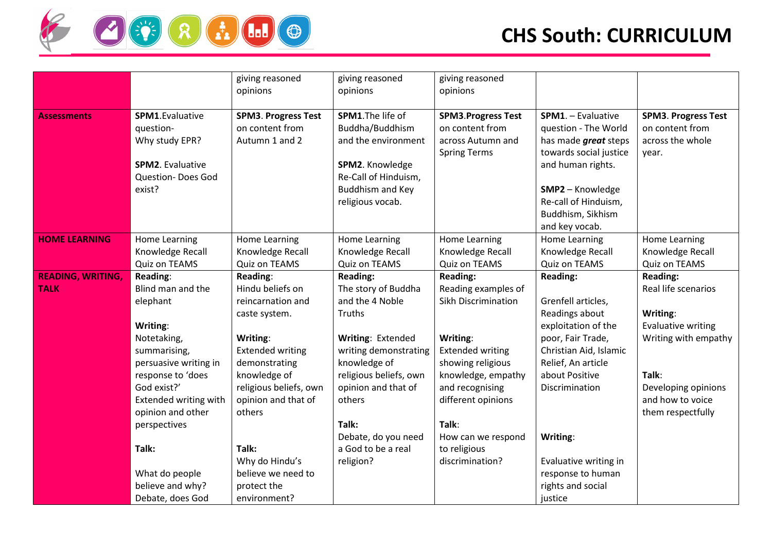

|                                         |                                                                                                                                                                                                                        | giving reasoned<br>opinions                                                                                                                                                                           | giving reasoned<br>opinions                                                                                                                                                                                           | giving reasoned<br>opinions                                                                                                                                                                                      |                                                                                                                                                                                                             |                                                                                                                                                                           |
|-----------------------------------------|------------------------------------------------------------------------------------------------------------------------------------------------------------------------------------------------------------------------|-------------------------------------------------------------------------------------------------------------------------------------------------------------------------------------------------------|-----------------------------------------------------------------------------------------------------------------------------------------------------------------------------------------------------------------------|------------------------------------------------------------------------------------------------------------------------------------------------------------------------------------------------------------------|-------------------------------------------------------------------------------------------------------------------------------------------------------------------------------------------------------------|---------------------------------------------------------------------------------------------------------------------------------------------------------------------------|
| <b>Assessments</b>                      | SPM1.Evaluative<br>question-<br>Why study EPR?<br><b>SPM2.</b> Evaluative<br>Question-Does God<br>exist?                                                                                                               | <b>SPM3. Progress Test</b><br>on content from<br>Autumn 1 and 2                                                                                                                                       | SPM1. The life of<br>Buddha/Buddhism<br>and the environment<br>SPM2. Knowledge<br>Re-Call of Hinduism,<br><b>Buddhism and Key</b><br>religious vocab.                                                                 | <b>SPM3.Progress Test</b><br>on content from<br>across Autumn and<br><b>Spring Terms</b>                                                                                                                         | SPM1. - Evaluative<br>question - The World<br>has made <i>great</i> steps<br>towards social justice<br>and human rights.<br>SMP2 - Knowledge<br>Re-call of Hinduism,<br>Buddhism, Sikhism<br>and key vocab. | <b>SPM3. Progress Test</b><br>on content from<br>across the whole<br>year.                                                                                                |
| <b>HOME LEARNING</b>                    | Home Learning<br>Knowledge Recall<br>Quiz on TEAMS                                                                                                                                                                     | Home Learning<br>Knowledge Recall<br>Quiz on TEAMS                                                                                                                                                    | Home Learning<br>Knowledge Recall<br>Quiz on TEAMS                                                                                                                                                                    | Home Learning<br>Knowledge Recall<br>Quiz on TEAMS                                                                                                                                                               | Home Learning<br>Knowledge Recall<br>Quiz on TEAMS                                                                                                                                                          | Home Learning<br>Knowledge Recall<br>Quiz on TEAMS                                                                                                                        |
| <b>READING, WRITING,</b><br><b>TALK</b> | Reading:<br>Blind man and the<br>elephant<br>Writing:<br>Notetaking,<br>summarising,<br>persuasive writing in<br>response to 'does<br>God exist?'<br><b>Extended writing with</b><br>opinion and other<br>perspectives | Reading:<br>Hindu beliefs on<br>reincarnation and<br>caste system.<br>Writing:<br><b>Extended writing</b><br>demonstrating<br>knowledge of<br>religious beliefs, own<br>opinion and that of<br>others | Reading:<br>The story of Buddha<br>and the 4 Noble<br>Truths<br>Writing: Extended<br>writing demonstrating<br>knowledge of<br>religious beliefs, own<br>opinion and that of<br>others<br>Talk:<br>Debate, do you need | Reading:<br>Reading examples of<br>Sikh Discrimination<br>Writing:<br><b>Extended writing</b><br>showing religious<br>knowledge, empathy<br>and recognising<br>different opinions<br>Talk:<br>How can we respond | <b>Reading:</b><br>Grenfell articles,<br>Readings about<br>exploitation of the<br>poor, Fair Trade,<br>Christian Aid, Islamic<br>Relief, An article<br>about Positive<br>Discrimination<br>Writing:         | Reading:<br>Real life scenarios<br>Writing:<br><b>Evaluative writing</b><br>Writing with empathy<br>Talk:<br>Developing opinions<br>and how to voice<br>them respectfully |
|                                         | Talk:<br>What do people<br>believe and why?<br>Debate, does God                                                                                                                                                        | Talk:<br>Why do Hindu's<br>believe we need to<br>protect the<br>environment?                                                                                                                          | a God to be a real<br>religion?                                                                                                                                                                                       | to religious<br>discrimination?                                                                                                                                                                                  | Evaluative writing in<br>response to human<br>rights and social<br>justice                                                                                                                                  |                                                                                                                                                                           |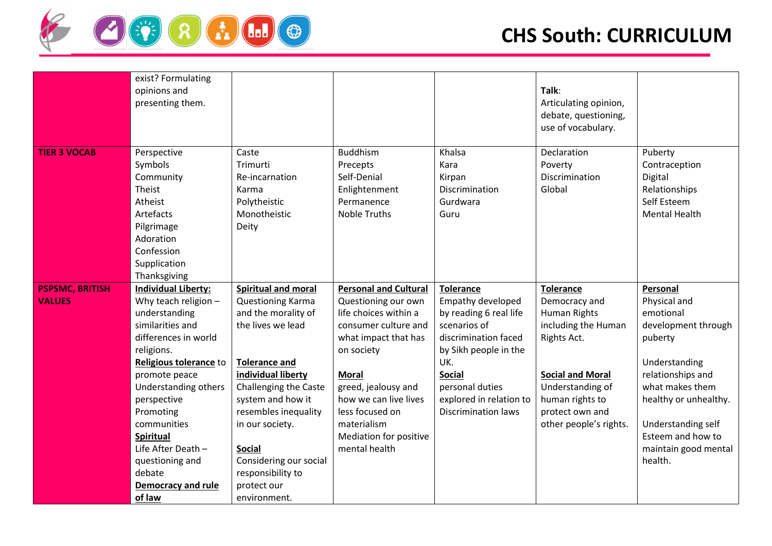

|                        | exist? Formulating         |                            |                              |                            |                         |                       |
|------------------------|----------------------------|----------------------------|------------------------------|----------------------------|-------------------------|-----------------------|
|                        | opinions and               |                            |                              |                            | Talk:                   |                       |
|                        | presenting them.           |                            |                              |                            | Articulating opinion,   |                       |
|                        |                            |                            |                              |                            | debate, questioning,    |                       |
|                        |                            |                            |                              |                            | use of vocabulary.      |                       |
| <b>TIER 3 VOCAB</b>    | Perspective                | Caste                      | <b>Buddhism</b>              | Khalsa                     | Declaration             | Puberty               |
|                        | Symbols                    | Trimurti                   | Precepts                     | Kara                       | Poverty                 | Contraception         |
|                        | Community                  | Re-incarnation             | Self-Denial                  | Kirpan                     | Discrimination          | Digital               |
|                        | Theist                     | Karma                      | Enlightenment                | Discrimination             | Global                  | Relationships         |
|                        | Atheist                    | Polytheistic               | Permanence                   | Gurdwara                   |                         | Self Esteem           |
|                        | Artefacts                  | Monotheistic               | <b>Noble Truths</b>          | Guru                       |                         | <b>Mental Health</b>  |
|                        | Pilgrimage                 | Deity                      |                              |                            |                         |                       |
|                        | Adoration                  |                            |                              |                            |                         |                       |
|                        | Confession                 |                            |                              |                            |                         |                       |
|                        | Supplication               |                            |                              |                            |                         |                       |
|                        | Thanksgiving               |                            |                              |                            |                         |                       |
| <b>PSPSMC, BRITISH</b> | <b>Individual Liberty:</b> | <b>Spiritual and moral</b> | <b>Personal and Cultural</b> | <b>Tolerance</b>           | <b>Tolerance</b>        | Personal              |
| <b>VALUES</b>          | Why teach religion $-$     | Questioning Karma          | Questioning our own          | Empathy developed          | Democracy and           | Physical and          |
|                        | understanding              | and the morality of        | life choices within a        | by reading 6 real life     | Human Rights            | emotional             |
|                        | similarities and           | the lives we lead          | consumer culture and         | scenarios of               | including the Human     | development through   |
|                        | differences in world       |                            | what impact that has         | discrimination faced       | Rights Act.             | puberty               |
|                        | religions.                 |                            | on society                   | by Sikh people in the      |                         |                       |
|                        | Religious tolerance to     | <b>Tolerance and</b>       |                              | UK.                        |                         | Understanding         |
|                        | promote peace              | individual liberty         | <b>Moral</b>                 | <b>Social</b>              | <b>Social and Moral</b> | relationships and     |
|                        | Understanding others       | Challenging the Caste      | greed, jealousy and          | personal duties            | Understanding of        | what makes them       |
|                        | perspective                | system and how it          | how we can live lives        | explored in relation to    | human rights to         | healthy or unhealthy. |
|                        | Promoting                  | resembles inequality       | less focused on              | <b>Discrimination laws</b> | protect own and         |                       |
|                        | communities                | in our society.            | materialism                  |                            | other people's rights.  | Understanding self    |
|                        | <b>Spiritual</b>           |                            | Mediation for positive       |                            |                         | Esteem and how to     |
|                        | Life After Death -         | <b>Social</b>              | mental health                |                            |                         | maintain good mental  |
|                        | questioning and            | Considering our social     |                              |                            |                         | health.               |
|                        | debate                     | responsibility to          |                              |                            |                         |                       |
|                        | Democracy and rule         | protect our                |                              |                            |                         |                       |
|                        | of law                     | environment.               |                              |                            |                         |                       |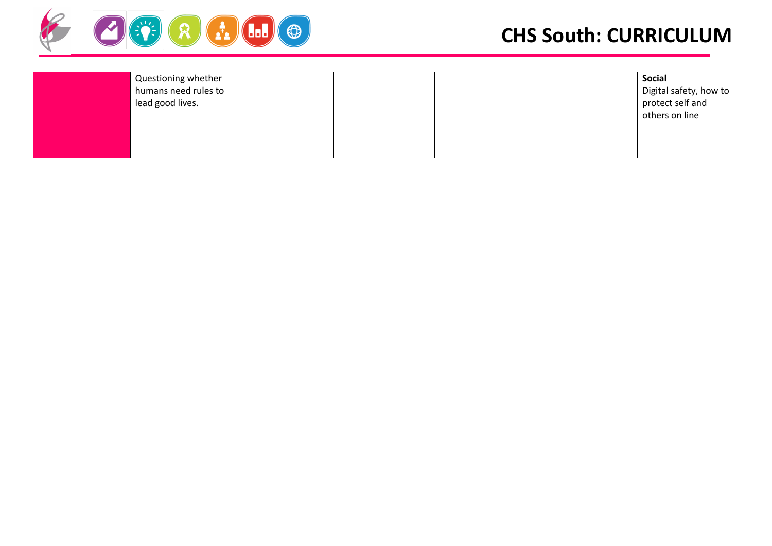

## **CHS South: CURRICULUM**

| Questioning whether<br>humans need rules to<br>lead good lives. | <b>Social</b><br>Digital safety, how to<br>protect self and<br>others on line |
|-----------------------------------------------------------------|-------------------------------------------------------------------------------|
|-----------------------------------------------------------------|-------------------------------------------------------------------------------|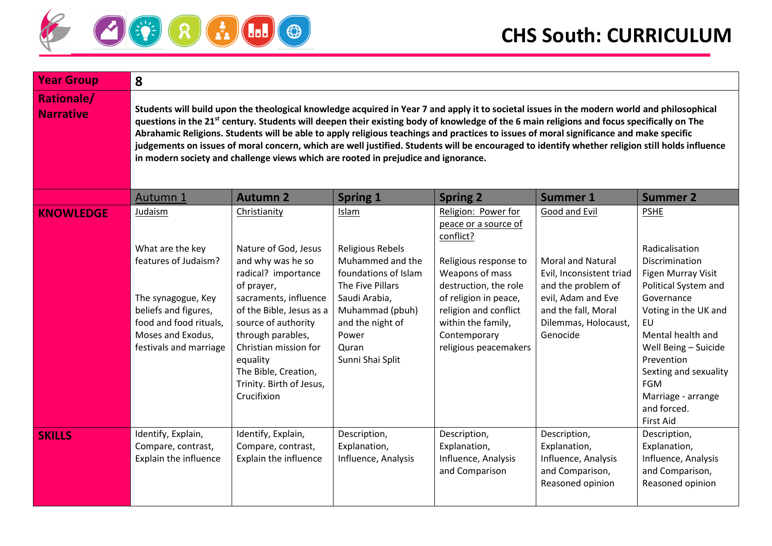

| <b>Year Group</b>                     | 8                                                                                                                                                                                                                                                                                                                                                                                                                                                                                                                                                                                                                                                                                         |                                                                                                                                                                                                                                                                                                         |                                                                                                                                                                                         |                                                                                                                                                                                                                                                |                                                                                                                                                                              |                                                                                                                                                                                                                                                                                                             |  |  |  |  |
|---------------------------------------|-------------------------------------------------------------------------------------------------------------------------------------------------------------------------------------------------------------------------------------------------------------------------------------------------------------------------------------------------------------------------------------------------------------------------------------------------------------------------------------------------------------------------------------------------------------------------------------------------------------------------------------------------------------------------------------------|---------------------------------------------------------------------------------------------------------------------------------------------------------------------------------------------------------------------------------------------------------------------------------------------------------|-----------------------------------------------------------------------------------------------------------------------------------------------------------------------------------------|------------------------------------------------------------------------------------------------------------------------------------------------------------------------------------------------------------------------------------------------|------------------------------------------------------------------------------------------------------------------------------------------------------------------------------|-------------------------------------------------------------------------------------------------------------------------------------------------------------------------------------------------------------------------------------------------------------------------------------------------------------|--|--|--|--|
| <b>Rationale/</b><br><b>Narrative</b> | Students will build upon the theological knowledge acquired in Year 7 and apply it to societal issues in the modern world and philosophical<br>questions in the 21 <sup>st</sup> century. Students will deepen their existing body of knowledge of the 6 main religions and focus specifically on The<br>Abrahamic Religions. Students will be able to apply religious teachings and practices to issues of moral significance and make specific<br>judgements on issues of moral concern, which are well justified. Students will be encouraged to identify whether religion still holds influence<br>in modern society and challenge views which are rooted in prejudice and ignorance. |                                                                                                                                                                                                                                                                                                         |                                                                                                                                                                                         |                                                                                                                                                                                                                                                |                                                                                                                                                                              |                                                                                                                                                                                                                                                                                                             |  |  |  |  |
|                                       | Autumn 1                                                                                                                                                                                                                                                                                                                                                                                                                                                                                                                                                                                                                                                                                  | <b>Autumn 2</b>                                                                                                                                                                                                                                                                                         | <b>Spring 1</b>                                                                                                                                                                         | <b>Spring 2</b>                                                                                                                                                                                                                                | <b>Summer 1</b>                                                                                                                                                              | <b>Summer 2</b>                                                                                                                                                                                                                                                                                             |  |  |  |  |
| <b>KNOWLEDGE</b>                      | Judaism<br>What are the key<br>features of Judaism?<br>The synagogue, Key<br>beliefs and figures,<br>food and food rituals,<br>Moses and Exodus,<br>festivals and marriage                                                                                                                                                                                                                                                                                                                                                                                                                                                                                                                | Christianity<br>Nature of God, Jesus<br>and why was he so<br>radical? importance<br>of prayer,<br>sacraments, influence<br>of the Bible, Jesus as a<br>source of authority<br>through parables,<br>Christian mission for<br>equality<br>The Bible, Creation,<br>Trinity. Birth of Jesus,<br>Crucifixion | Islam<br>Religious Rebels<br>Muhammed and the<br>foundations of Islam<br>The Five Pillars<br>Saudi Arabia,<br>Muhammad (pbuh)<br>and the night of<br>Power<br>Quran<br>Sunni Shai Split | Religion: Power for<br>peace or a source of<br>conflict?<br>Religious response to<br>Weapons of mass<br>destruction, the role<br>of religion in peace,<br>religion and conflict<br>within the family,<br>Contemporary<br>religious peacemakers | Good and Evil<br><b>Moral and Natural</b><br>Evil, Inconsistent triad<br>and the problem of<br>evil, Adam and Eve<br>and the fall, Moral<br>Dilemmas, Holocaust,<br>Genocide | <b>PSHE</b><br>Radicalisation<br>Discrimination<br>Figen Murray Visit<br>Political System and<br>Governance<br>Voting in the UK and<br><b>EU</b><br>Mental health and<br>Well Being - Suicide<br>Prevention<br>Sexting and sexuality<br><b>FGM</b><br>Marriage - arrange<br>and forced.<br><b>First Aid</b> |  |  |  |  |
| <b>SKILLS</b>                         | Identify, Explain,<br>Compare, contrast,<br>Explain the influence                                                                                                                                                                                                                                                                                                                                                                                                                                                                                                                                                                                                                         | Identify, Explain,<br>Compare, contrast,<br>Explain the influence                                                                                                                                                                                                                                       | Description,<br>Explanation,<br>Influence, Analysis                                                                                                                                     | Description,<br>Explanation,<br>Influence, Analysis<br>and Comparison                                                                                                                                                                          | Description,<br>Explanation,<br>Influence, Analysis<br>and Comparison,<br>Reasoned opinion                                                                                   | Description,<br>Explanation,<br>Influence, Analysis<br>and Comparison,<br>Reasoned opinion                                                                                                                                                                                                                  |  |  |  |  |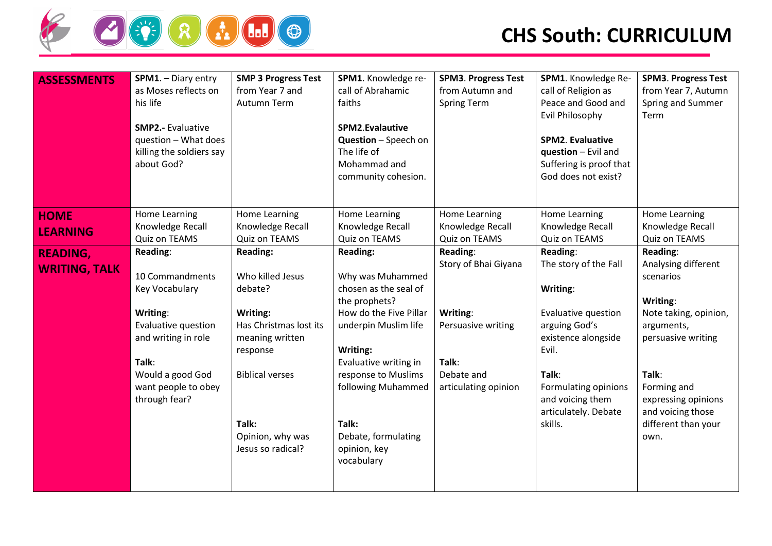

| <b>ASSESSMENTS</b>   | SPM1. - Diary entry<br>as Moses reflects on<br>his life<br><b>SMP2.- Evaluative</b><br>question - What does<br>killing the soldiers say<br>about God? | <b>SMP 3 Progress Test</b><br>from Year 7 and<br>Autumn Term | SPM1. Knowledge re-<br>call of Abrahamic<br>faiths<br>SPM2.Evalautive<br><b>Question</b> - Speech on<br>The life of<br>Mohammad and<br>community cohesion. | <b>SPM3. Progress Test</b><br>from Autumn and<br><b>Spring Term</b> | SPM1. Knowledge Re-<br>call of Religion as<br>Peace and Good and<br><b>Evil Philosophy</b><br>SPM2. Evaluative<br>question - Evil and<br>Suffering is proof that<br>God does not exist? | <b>SPM3. Progress Test</b><br>from Year 7, Autumn<br>Spring and Summer<br>Term |
|----------------------|-------------------------------------------------------------------------------------------------------------------------------------------------------|--------------------------------------------------------------|------------------------------------------------------------------------------------------------------------------------------------------------------------|---------------------------------------------------------------------|-----------------------------------------------------------------------------------------------------------------------------------------------------------------------------------------|--------------------------------------------------------------------------------|
| <b>HOME</b>          | Home Learning                                                                                                                                         | Home Learning                                                | <b>Home Learning</b>                                                                                                                                       | Home Learning                                                       | Home Learning                                                                                                                                                                           | Home Learning                                                                  |
| <b>LEARNING</b>      | Knowledge Recall                                                                                                                                      | Knowledge Recall                                             | Knowledge Recall                                                                                                                                           | Knowledge Recall                                                    | Knowledge Recall                                                                                                                                                                        | Knowledge Recall                                                               |
|                      | Quiz on TEAMS<br>Reading:                                                                                                                             | Quiz on TEAMS<br><b>Reading:</b>                             | Quiz on TEAMS<br><b>Reading:</b>                                                                                                                           | Quiz on TEAMS<br>Reading:                                           | Quiz on TEAMS<br>Reading:                                                                                                                                                               | Quiz on TEAMS<br>Reading:                                                      |
| <b>READING,</b>      |                                                                                                                                                       |                                                              |                                                                                                                                                            | Story of Bhai Giyana                                                | The story of the Fall                                                                                                                                                                   | Analysing different                                                            |
| <b>WRITING, TALK</b> | 10 Commandments                                                                                                                                       | Who killed Jesus                                             | Why was Muhammed                                                                                                                                           |                                                                     |                                                                                                                                                                                         | scenarios                                                                      |
|                      | Key Vocabulary                                                                                                                                        | debate?                                                      | chosen as the seal of                                                                                                                                      |                                                                     | Writing:                                                                                                                                                                                |                                                                                |
|                      |                                                                                                                                                       |                                                              | the prophets?                                                                                                                                              |                                                                     |                                                                                                                                                                                         | Writing:                                                                       |
|                      | Writing:                                                                                                                                              | Writing:                                                     | How do the Five Pillar                                                                                                                                     | Writing:                                                            | Evaluative question                                                                                                                                                                     | Note taking, opinion,                                                          |
|                      | Evaluative question<br>and writing in role                                                                                                            | Has Christmas lost its<br>meaning written                    | underpin Muslim life                                                                                                                                       | Persuasive writing                                                  | arguing God's<br>existence alongside                                                                                                                                                    | arguments,<br>persuasive writing                                               |
|                      |                                                                                                                                                       | response                                                     | Writing:                                                                                                                                                   |                                                                     | Evil.                                                                                                                                                                                   |                                                                                |
|                      | Talk:                                                                                                                                                 |                                                              | Evaluative writing in                                                                                                                                      | Talk:                                                               |                                                                                                                                                                                         |                                                                                |
|                      | Would a good God                                                                                                                                      | <b>Biblical verses</b>                                       | response to Muslims                                                                                                                                        | Debate and                                                          | Talk:                                                                                                                                                                                   | Talk:                                                                          |
|                      | want people to obey                                                                                                                                   |                                                              | following Muhammed                                                                                                                                         | articulating opinion                                                | Formulating opinions                                                                                                                                                                    | Forming and                                                                    |
|                      | through fear?                                                                                                                                         |                                                              |                                                                                                                                                            |                                                                     | and voicing them                                                                                                                                                                        | expressing opinions                                                            |
|                      |                                                                                                                                                       | Talk:                                                        | Talk:                                                                                                                                                      |                                                                     | articulately. Debate<br>skills.                                                                                                                                                         | and voicing those<br>different than your                                       |
|                      |                                                                                                                                                       | Opinion, why was                                             | Debate, formulating                                                                                                                                        |                                                                     |                                                                                                                                                                                         | own.                                                                           |
|                      |                                                                                                                                                       | Jesus so radical?                                            | opinion, key                                                                                                                                               |                                                                     |                                                                                                                                                                                         |                                                                                |
|                      |                                                                                                                                                       |                                                              | vocabulary                                                                                                                                                 |                                                                     |                                                                                                                                                                                         |                                                                                |
|                      |                                                                                                                                                       |                                                              |                                                                                                                                                            |                                                                     |                                                                                                                                                                                         |                                                                                |
|                      |                                                                                                                                                       |                                                              |                                                                                                                                                            |                                                                     |                                                                                                                                                                                         |                                                                                |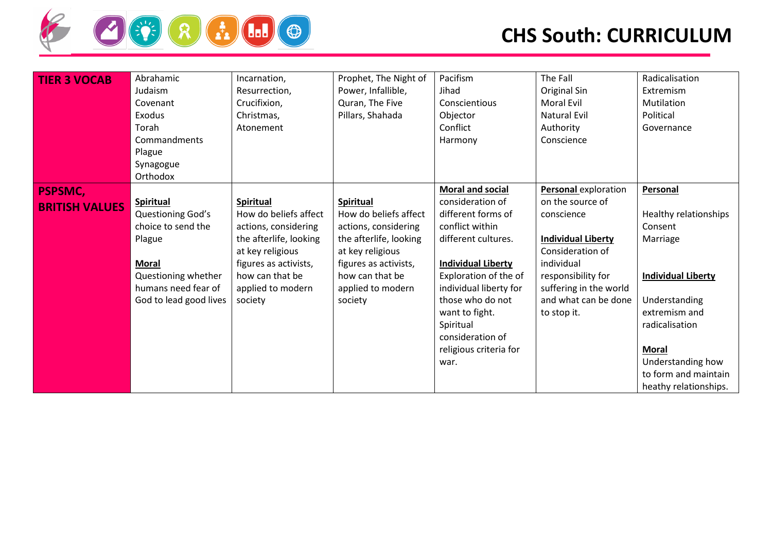

| <b>TIER 3 VOCAB</b>                     | Abrahamic<br>Judaism<br>Covenant<br>Exodus<br>Torah<br>Commandments<br>Plague<br>Synagogue<br>Orthodox                                                        | Incarnation,<br>Resurrection,<br>Crucifixion,<br>Christmas,<br>Atonement                                                                                                                    | Prophet, The Night of<br>Power, Infallible,<br>Quran, The Five<br>Pillars, Shahada                                                                                                          | Pacifism<br>Jihad<br>Conscientious<br>Objector<br>Conflict<br>Harmony                                                                                                                                                                                                                                | The Fall<br>Original Sin<br><b>Moral Evil</b><br><b>Natural Evil</b><br>Authority<br>Conscience                                                                                                                     | Radicalisation<br>Extremism<br>Mutilation<br>Political<br>Governance                                                                                                                                                            |
|-----------------------------------------|---------------------------------------------------------------------------------------------------------------------------------------------------------------|---------------------------------------------------------------------------------------------------------------------------------------------------------------------------------------------|---------------------------------------------------------------------------------------------------------------------------------------------------------------------------------------------|------------------------------------------------------------------------------------------------------------------------------------------------------------------------------------------------------------------------------------------------------------------------------------------------------|---------------------------------------------------------------------------------------------------------------------------------------------------------------------------------------------------------------------|---------------------------------------------------------------------------------------------------------------------------------------------------------------------------------------------------------------------------------|
| <b>PSPSMC,</b><br><b>BRITISH VALUES</b> | <b>Spiritual</b><br>Questioning God's<br>choice to send the<br>Plague<br><b>Moral</b><br>Questioning whether<br>humans need fear of<br>God to lead good lives | <b>Spiritual</b><br>How do beliefs affect<br>actions, considering<br>the afterlife, looking<br>at key religious<br>figures as activists,<br>how can that be<br>applied to modern<br>society | <b>Spiritual</b><br>How do beliefs affect<br>actions, considering<br>the afterlife, looking<br>at key religious<br>figures as activists,<br>how can that be<br>applied to modern<br>society | <b>Moral and social</b><br>consideration of<br>different forms of<br>conflict within<br>different cultures.<br><b>Individual Liberty</b><br>Exploration of the of<br>individual liberty for<br>those who do not<br>want to fight.<br>Spiritual<br>consideration of<br>religious criteria for<br>war. | <b>Personal</b> exploration<br>on the source of<br>conscience<br><b>Individual Liberty</b><br>Consideration of<br>individual<br>responsibility for<br>suffering in the world<br>and what can be done<br>to stop it. | Personal<br>Healthy relationships<br>Consent<br>Marriage<br><b>Individual Liberty</b><br>Understanding<br>extremism and<br>radicalisation<br><b>Moral</b><br>Understanding how<br>to form and maintain<br>heathy relationships. |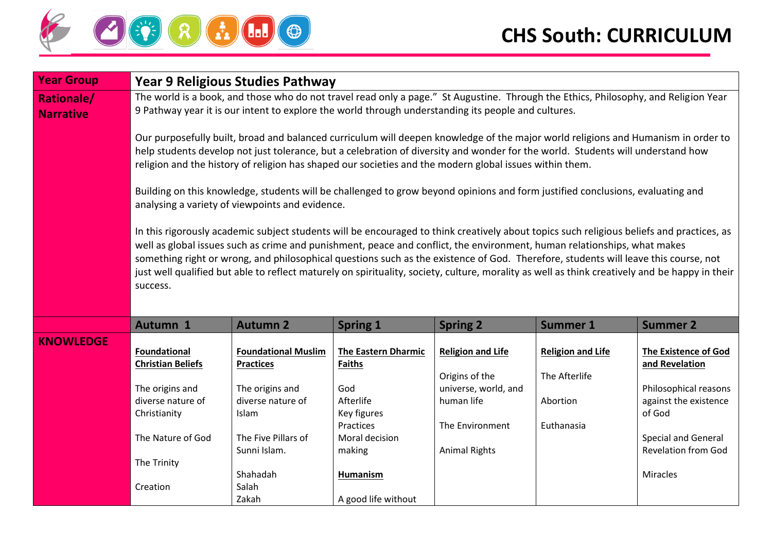

| <b>Year Group</b>                     |                                                                                                                                                                                                                                                                                                                                                                                                                                                                                                                                                                            | Year 9 Religious Studies Pathway                                                                                                                   |                                                                                                                                            |                                                                                                                             |                                                                                                                                     |                                                                                                                                                                                   |  |  |  |  |
|---------------------------------------|----------------------------------------------------------------------------------------------------------------------------------------------------------------------------------------------------------------------------------------------------------------------------------------------------------------------------------------------------------------------------------------------------------------------------------------------------------------------------------------------------------------------------------------------------------------------------|----------------------------------------------------------------------------------------------------------------------------------------------------|--------------------------------------------------------------------------------------------------------------------------------------------|-----------------------------------------------------------------------------------------------------------------------------|-------------------------------------------------------------------------------------------------------------------------------------|-----------------------------------------------------------------------------------------------------------------------------------------------------------------------------------|--|--|--|--|
| <b>Rationale/</b><br><b>Narrative</b> |                                                                                                                                                                                                                                                                                                                                                                                                                                                                                                                                                                            | 9 Pathway year it is our intent to explore the world through understanding its people and cultures.                                                |                                                                                                                                            |                                                                                                                             | The world is a book, and those who do not travel read only a page." St Augustine. Through the Ethics, Philosophy, and Religion Year |                                                                                                                                                                                   |  |  |  |  |
|                                       | Our purposefully built, broad and balanced curriculum will deepen knowledge of the major world religions and Humanism in order to<br>help students develop not just tolerance, but a celebration of diversity and wonder for the world. Students will understand how<br>religion and the history of religion has shaped our societies and the modern global issues within them.                                                                                                                                                                                            |                                                                                                                                                    |                                                                                                                                            |                                                                                                                             |                                                                                                                                     |                                                                                                                                                                                   |  |  |  |  |
|                                       | Building on this knowledge, students will be challenged to grow beyond opinions and form justified conclusions, evaluating and<br>analysing a variety of viewpoints and evidence.                                                                                                                                                                                                                                                                                                                                                                                          |                                                                                                                                                    |                                                                                                                                            |                                                                                                                             |                                                                                                                                     |                                                                                                                                                                                   |  |  |  |  |
|                                       | In this rigorously academic subject students will be encouraged to think creatively about topics such religious beliefs and practices, as<br>well as global issues such as crime and punishment, peace and conflict, the environment, human relationships, what makes<br>something right or wrong, and philosophical questions such as the existence of God. Therefore, students will leave this course, not<br>just well qualified but able to reflect maturely on spirituality, society, culture, morality as well as think creatively and be happy in their<br>success. |                                                                                                                                                    |                                                                                                                                            |                                                                                                                             |                                                                                                                                     |                                                                                                                                                                                   |  |  |  |  |
|                                       | Autumn 1                                                                                                                                                                                                                                                                                                                                                                                                                                                                                                                                                                   | <b>Autumn 2</b>                                                                                                                                    | <b>Spring 1</b>                                                                                                                            | <b>Spring 2</b>                                                                                                             | <b>Summer 1</b>                                                                                                                     | <b>Summer 2</b>                                                                                                                                                                   |  |  |  |  |
| <b>KNOWLEDGE</b>                      | Foundational<br><b>Christian Beliefs</b><br>The origins and<br>diverse nature of<br>Christianity<br>The Nature of God<br>The Trinity                                                                                                                                                                                                                                                                                                                                                                                                                                       | <b>Foundational Muslim</b><br><b>Practices</b><br>The origins and<br>diverse nature of<br>Islam<br>The Five Pillars of<br>Sunni Islam.<br>Shahadah | <b>The Eastern Dharmic</b><br><b>Faiths</b><br>God<br>Afterlife<br>Key figures<br>Practices<br>Moral decision<br>making<br><b>Humanism</b> | <b>Religion and Life</b><br>Origins of the<br>universe, world, and<br>human life<br>The Environment<br><b>Animal Rights</b> | <b>Religion and Life</b><br>The Afterlife<br>Abortion<br>Euthanasia                                                                 | <b>The Existence of God</b><br>and Revelation<br>Philosophical reasons<br>against the existence<br>of God<br><b>Special and General</b><br><b>Revelation from God</b><br>Miracles |  |  |  |  |
|                                       | Creation                                                                                                                                                                                                                                                                                                                                                                                                                                                                                                                                                                   | Salah<br>Zakah                                                                                                                                     | A good life without                                                                                                                        |                                                                                                                             |                                                                                                                                     |                                                                                                                                                                                   |  |  |  |  |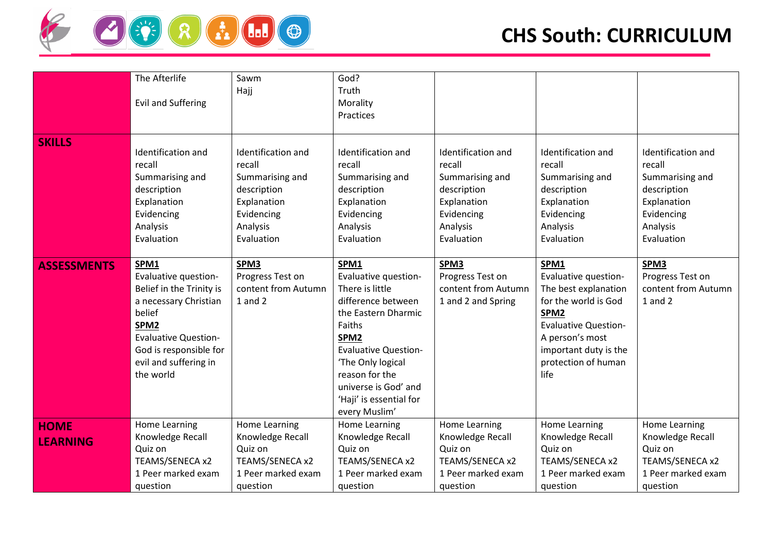

|                    |                             |                     | God?                        |                     |                             |                      |
|--------------------|-----------------------------|---------------------|-----------------------------|---------------------|-----------------------------|----------------------|
|                    | The Afterlife               | Sawm                |                             |                     |                             |                      |
|                    |                             | Hajj                | Truth                       |                     |                             |                      |
|                    | <b>Evil and Suffering</b>   |                     | Morality                    |                     |                             |                      |
|                    |                             |                     | Practices                   |                     |                             |                      |
|                    |                             |                     |                             |                     |                             |                      |
| <b>SKILLS</b>      |                             |                     |                             |                     |                             |                      |
|                    | Identification and          | Identification and  | Identification and          | Identification and  | Identification and          | Identification and   |
|                    | recall                      | recall              | recall                      | recall              | recall                      | recall               |
|                    | Summarising and             | Summarising and     | Summarising and             | Summarising and     | Summarising and             | Summarising and      |
|                    | description                 | description         | description                 | description         | description                 | description          |
|                    | Explanation                 | Explanation         | Explanation                 | Explanation         | Explanation                 | Explanation          |
|                    | Evidencing                  | Evidencing          | Evidencing                  | Evidencing          | Evidencing                  | Evidencing           |
|                    | Analysis                    | Analysis            | Analysis                    | Analysis            | Analysis                    | Analysis             |
|                    | Evaluation                  | Evaluation          | Evaluation                  | Evaluation          | Evaluation                  | Evaluation           |
|                    |                             |                     |                             |                     |                             |                      |
| <b>ASSESSMENTS</b> | SPM1                        | SPM3                | SPM1                        | SPM3                | SPM1                        | SPM3                 |
|                    | Evaluative question-        | Progress Test on    | Evaluative question-        | Progress Test on    | Evaluative question-        | Progress Test on     |
|                    | Belief in the Trinity is    | content from Autumn | There is little             | content from Autumn | The best explanation        | content from Autumn  |
|                    | a necessary Christian       | $1$ and $2$         | difference between          | 1 and 2 and Spring  | for the world is God        | $1$ and $2$          |
|                    | belief                      |                     | the Eastern Dharmic         |                     | SPM <sub>2</sub>            |                      |
|                    | SPM <sub>2</sub>            |                     | Faiths                      |                     | <b>Evaluative Question-</b> |                      |
|                    |                             |                     |                             |                     |                             |                      |
|                    | <b>Evaluative Question-</b> |                     | SPM2                        |                     | A person's most             |                      |
|                    | God is responsible for      |                     | <b>Evaluative Question-</b> |                     | important duty is the       |                      |
|                    | evil and suffering in       |                     | 'The Only logical           |                     | protection of human         |                      |
|                    | the world                   |                     | reason for the              |                     | life                        |                      |
|                    |                             |                     | universe is God' and        |                     |                             |                      |
|                    |                             |                     | 'Haji' is essential for     |                     |                             |                      |
|                    |                             |                     | every Muslim'               |                     |                             |                      |
| <b>HOME</b>        | <b>Home Learning</b>        | Home Learning       | Home Learning               | Home Learning       | <b>Home Learning</b>        | <b>Home Learning</b> |
| <b>LEARNING</b>    | Knowledge Recall            | Knowledge Recall    | Knowledge Recall            | Knowledge Recall    | Knowledge Recall            | Knowledge Recall     |
|                    | Quiz on                     | Quiz on             | Quiz on                     | Quiz on             | Quiz on                     | Quiz on              |
|                    | TEAMS/SENECA x2             | TEAMS/SENECA x2     | TEAMS/SENECA x2             | TEAMS/SENECA x2     | TEAMS/SENECA x2             | TEAMS/SENECA x2      |
|                    | 1 Peer marked exam          | 1 Peer marked exam  | 1 Peer marked exam          | 1 Peer marked exam  | 1 Peer marked exam          | 1 Peer marked exam   |
|                    | question                    | question            | question                    | question            | question                    | question             |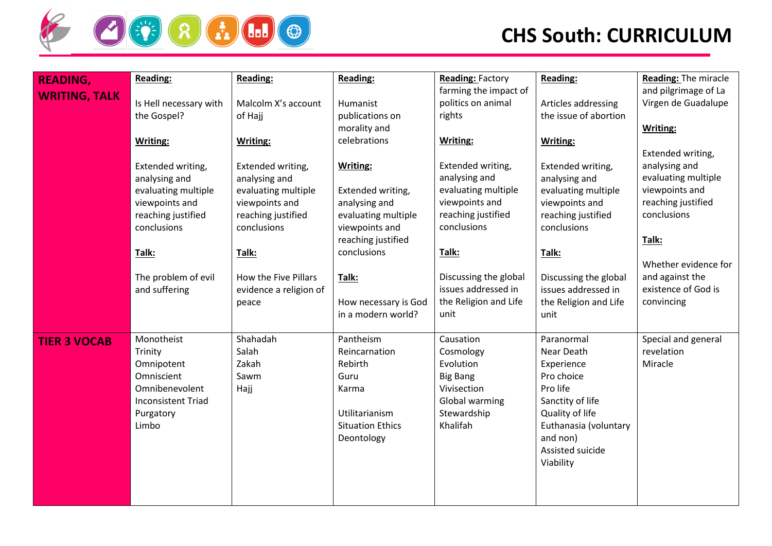

## **CHS South: CURRICULUM**

| <b>READING,</b>      | Reading:                  | <b>Reading:</b>        | Reading:                | <b>Reading: Factory</b> | <b>Reading:</b>       | <b>Reading: The miracle</b> |
|----------------------|---------------------------|------------------------|-------------------------|-------------------------|-----------------------|-----------------------------|
| <b>WRITING, TALK</b> |                           |                        |                         | farming the impact of   |                       | and pilgrimage of La        |
|                      | Is Hell necessary with    | Malcolm X's account    | Humanist                | politics on animal      | Articles addressing   | Virgen de Guadalupe         |
|                      | the Gospel?               | of Hajj                | publications on         | rights                  | the issue of abortion |                             |
|                      |                           |                        | morality and            |                         |                       | Writing:                    |
|                      | Writing:                  | Writing:               | celebrations            | Writing:                | Writing:              |                             |
|                      |                           |                        |                         |                         |                       | Extended writing,           |
|                      | Extended writing,         | Extended writing,      | Writing:                | Extended writing,       | Extended writing,     | analysing and               |
|                      | analysing and             | analysing and          |                         | analysing and           | analysing and         | evaluating multiple         |
|                      | evaluating multiple       | evaluating multiple    | Extended writing,       | evaluating multiple     | evaluating multiple   | viewpoints and              |
|                      | viewpoints and            | viewpoints and         | analysing and           | viewpoints and          | viewpoints and        | reaching justified          |
|                      | reaching justified        | reaching justified     | evaluating multiple     | reaching justified      | reaching justified    | conclusions                 |
|                      | conclusions               | conclusions            | viewpoints and          | conclusions             | conclusions           |                             |
|                      |                           |                        | reaching justified      |                         |                       | Talk:                       |
|                      | Talk:                     | Talk:                  | conclusions             | Talk:                   | Talk:                 |                             |
|                      |                           |                        |                         |                         |                       | Whether evidence for        |
|                      | The problem of evil       | How the Five Pillars   | Talk:                   | Discussing the global   | Discussing the global | and against the             |
|                      | and suffering             | evidence a religion of |                         | issues addressed in     | issues addressed in   | existence of God is         |
|                      |                           | peace                  | How necessary is God    | the Religion and Life   | the Religion and Life | convincing                  |
|                      |                           |                        | in a modern world?      | unit                    | unit                  |                             |
| <b>TIER 3 VOCAB</b>  | Monotheist                | Shahadah               | Pantheism               | Causation               | Paranormal            | Special and general         |
|                      | Trinity                   | Salah                  | Reincarnation           | Cosmology               | Near Death            | revelation                  |
|                      | Omnipotent                | Zakah                  | Rebirth                 | Evolution               | Experience            | Miracle                     |
|                      | Omniscient                | Sawm                   | Guru                    | <b>Big Bang</b>         | Pro choice            |                             |
|                      | Omnibenevolent            | Hajj                   | Karma                   | Vivisection             | Pro life              |                             |
|                      | <b>Inconsistent Triad</b> |                        |                         | Global warming          | Sanctity of life      |                             |
|                      | Purgatory                 |                        | Utilitarianism          | Stewardship             | Quality of life       |                             |
|                      | Limbo                     |                        | <b>Situation Ethics</b> | Khalifah                | Euthanasia (voluntary |                             |
|                      |                           |                        | Deontology              |                         | and non)              |                             |
|                      |                           |                        |                         |                         | Assisted suicide      |                             |
|                      |                           |                        |                         |                         | Viability             |                             |
|                      |                           |                        |                         |                         |                       |                             |
|                      |                           |                        |                         |                         |                       |                             |
|                      |                           |                        |                         |                         |                       |                             |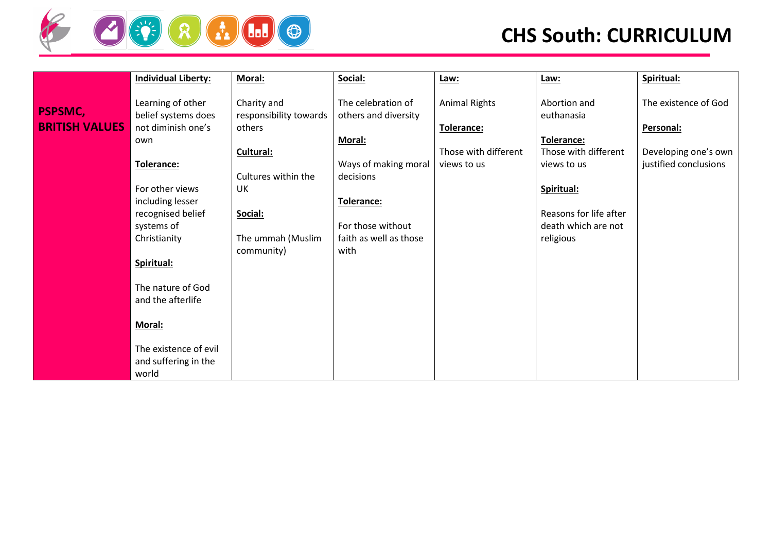

# **CHS South: CURRICULUM**

|                       | <b>Individual Liberty:</b> | Moral:                 | Social:                | Law:                 | Law:                   | Spiritual:            |
|-----------------------|----------------------------|------------------------|------------------------|----------------------|------------------------|-----------------------|
|                       |                            |                        |                        |                      |                        |                       |
| <b>PSPSMC,</b>        | Learning of other          | Charity and            | The celebration of     | <b>Animal Rights</b> | Abortion and           | The existence of God  |
|                       | belief systems does        | responsibility towards | others and diversity   |                      | euthanasia             |                       |
| <b>BRITISH VALUES</b> | not diminish one's         | others                 |                        | Tolerance:           |                        | Personal:             |
|                       | own                        |                        | Moral:                 |                      | <b>Tolerance:</b>      |                       |
|                       |                            | Cultural:              |                        | Those with different | Those with different   | Developing one's own  |
|                       | Tolerance:                 |                        | Ways of making moral   | views to us          | views to us            | justified conclusions |
|                       |                            | Cultures within the    | decisions              |                      |                        |                       |
|                       | For other views            | UK                     |                        |                      | Spiritual:             |                       |
|                       | including lesser           |                        | Tolerance:             |                      |                        |                       |
|                       | recognised belief          | Social:                |                        |                      | Reasons for life after |                       |
|                       | systems of                 |                        | For those without      |                      | death which are not    |                       |
|                       | Christianity               | The ummah (Muslim      | faith as well as those |                      | religious              |                       |
|                       |                            | community)             | with                   |                      |                        |                       |
|                       | Spiritual:                 |                        |                        |                      |                        |                       |
|                       |                            |                        |                        |                      |                        |                       |
|                       | The nature of God          |                        |                        |                      |                        |                       |
|                       | and the afterlife          |                        |                        |                      |                        |                       |
|                       |                            |                        |                        |                      |                        |                       |
|                       | Moral:                     |                        |                        |                      |                        |                       |
|                       | The existence of evil      |                        |                        |                      |                        |                       |
|                       | and suffering in the       |                        |                        |                      |                        |                       |
|                       |                            |                        |                        |                      |                        |                       |
|                       | world                      |                        |                        |                      |                        |                       |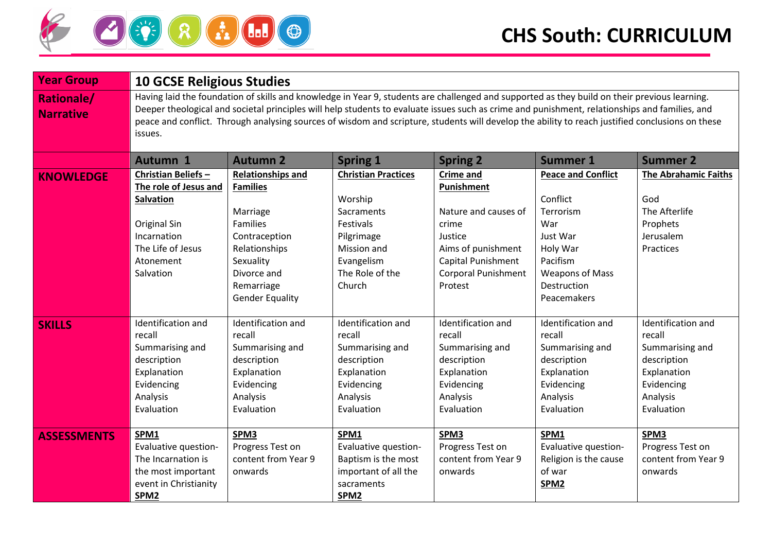

| <b>Year Group</b>                     | <b>10 GCSE Religious Studies</b>                                                                                                                                                                                                                                                                                                                                                                                                                               |                                                                                                                                                                                  |                                                                                                                                          |                                                                                                                                                                        |                                                                                                                                                       |                                                                                                                       |  |  |
|---------------------------------------|----------------------------------------------------------------------------------------------------------------------------------------------------------------------------------------------------------------------------------------------------------------------------------------------------------------------------------------------------------------------------------------------------------------------------------------------------------------|----------------------------------------------------------------------------------------------------------------------------------------------------------------------------------|------------------------------------------------------------------------------------------------------------------------------------------|------------------------------------------------------------------------------------------------------------------------------------------------------------------------|-------------------------------------------------------------------------------------------------------------------------------------------------------|-----------------------------------------------------------------------------------------------------------------------|--|--|
| <b>Rationale/</b><br><b>Narrative</b> | Having laid the foundation of skills and knowledge in Year 9, students are challenged and supported as they build on their previous learning.<br>Deeper theological and societal principles will help students to evaluate issues such as crime and punishment, relationships and families, and<br>peace and conflict. Through analysing sources of wisdom and scripture, students will develop the ability to reach justified conclusions on these<br>issues. |                                                                                                                                                                                  |                                                                                                                                          |                                                                                                                                                                        |                                                                                                                                                       |                                                                                                                       |  |  |
|                                       | <b>Autumn 1</b>                                                                                                                                                                                                                                                                                                                                                                                                                                                | <b>Autumn 2</b>                                                                                                                                                                  | <b>Spring 1</b>                                                                                                                          | <b>Spring 2</b>                                                                                                                                                        | <b>Summer 1</b>                                                                                                                                       | <b>Summer 2</b>                                                                                                       |  |  |
| <b>KNOWLEDGE</b>                      | Christian Beliefs-<br>The role of Jesus and<br><b>Salvation</b><br>Original Sin<br>Incarnation<br>The Life of Jesus<br>Atonement<br>Salvation                                                                                                                                                                                                                                                                                                                  | <b>Relationships and</b><br><b>Families</b><br>Marriage<br><b>Families</b><br>Contraception<br>Relationships<br>Sexuality<br>Divorce and<br>Remarriage<br><b>Gender Equality</b> | <b>Christian Practices</b><br>Worship<br>Sacraments<br>Festivals<br>Pilgrimage<br>Mission and<br>Evangelism<br>The Role of the<br>Church | <b>Crime and</b><br>Punishment<br>Nature and causes of<br>crime<br>Justice<br>Aims of punishment<br><b>Capital Punishment</b><br><b>Corporal Punishment</b><br>Protest | <b>Peace and Conflict</b><br>Conflict<br>Terrorism<br>War<br>Just War<br>Holy War<br>Pacifism<br><b>Weapons of Mass</b><br>Destruction<br>Peacemakers | <b>The Abrahamic Faiths</b><br>God<br>The Afterlife<br>Prophets<br>Jerusalem<br>Practices                             |  |  |
| <b>SKILLS</b>                         | Identification and<br>recall<br>Summarising and<br>description<br>Explanation<br>Evidencing<br>Analysis<br>Evaluation                                                                                                                                                                                                                                                                                                                                          | Identification and<br>recall<br>Summarising and<br>description<br>Explanation<br>Evidencing<br>Analysis<br>Evaluation                                                            | Identification and<br>recall<br>Summarising and<br>description<br>Explanation<br>Evidencing<br>Analysis<br>Evaluation                    | Identification and<br>recall<br>Summarising and<br>description<br>Explanation<br>Evidencing<br>Analysis<br>Evaluation                                                  | Identification and<br>recall<br>Summarising and<br>description<br>Explanation<br>Evidencing<br>Analysis<br>Evaluation                                 | Identification and<br>recall<br>Summarising and<br>description<br>Explanation<br>Evidencing<br>Analysis<br>Evaluation |  |  |
| <b>ASSESSMENTS</b>                    | SPM1<br>Evaluative question-<br>The Incarnation is<br>the most important<br>event in Christianity<br>SPM <sub>2</sub>                                                                                                                                                                                                                                                                                                                                          | SPM3<br>Progress Test on<br>content from Year 9<br>onwards                                                                                                                       | SPM1<br>Evaluative question-<br>Baptism is the most<br>important of all the<br>sacraments<br>SPM <sub>2</sub>                            | SPM3<br>Progress Test on<br>content from Year 9<br>onwards                                                                                                             | SPM1<br>Evaluative question-<br>Religion is the cause<br>of war<br>SPM2                                                                               | SPM3<br>Progress Test on<br>content from Year 9<br>onwards                                                            |  |  |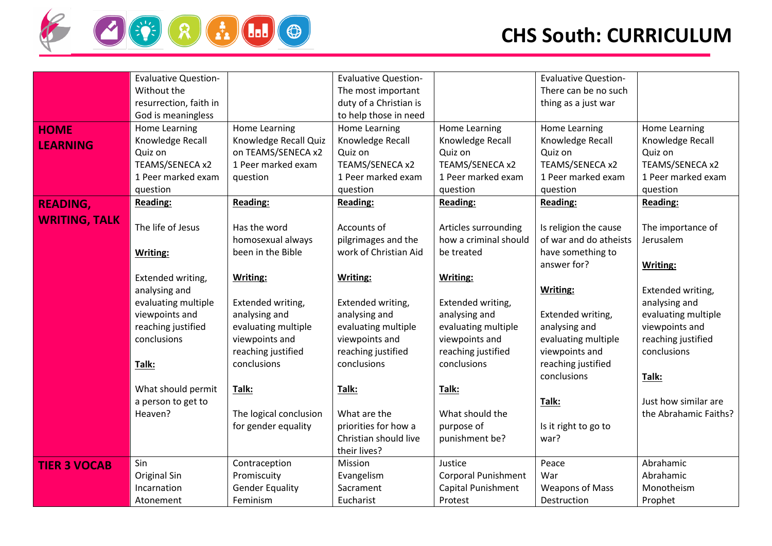

|                      | <b>Evaluative Question-</b> |                        | <b>Evaluative Question-</b> |                            | <b>Evaluative Question-</b> |                       |
|----------------------|-----------------------------|------------------------|-----------------------------|----------------------------|-----------------------------|-----------------------|
|                      | Without the                 |                        | The most important          |                            | There can be no such        |                       |
|                      | resurrection, faith in      |                        | duty of a Christian is      |                            | thing as a just war         |                       |
|                      | God is meaningless          |                        | to help those in need       |                            |                             |                       |
| <b>HOME</b>          | Home Learning               | Home Learning          | Home Learning               | <b>Home Learning</b>       | <b>Home Learning</b>        | Home Learning         |
| <b>LEARNING</b>      | Knowledge Recall            | Knowledge Recall Quiz  | Knowledge Recall            | Knowledge Recall           | Knowledge Recall            | Knowledge Recall      |
|                      | Quiz on                     | on TEAMS/SENECA x2     | Quiz on                     | Quiz on                    | Quiz on                     | Quiz on               |
|                      | TEAMS/SENECA x2             | 1 Peer marked exam     | TEAMS/SENECA x2             | TEAMS/SENECA x2            | TEAMS/SENECA x2             | TEAMS/SENECA x2       |
|                      | 1 Peer marked exam          | question               | 1 Peer marked exam          | 1 Peer marked exam         | 1 Peer marked exam          | 1 Peer marked exam    |
|                      | question                    |                        | question                    | question                   | question                    | question              |
| <b>READING,</b>      | <b>Reading:</b>             | <b>Reading:</b>        | <b>Reading:</b>             | <b>Reading:</b>            | <b>Reading:</b>             | <b>Reading:</b>       |
|                      |                             |                        |                             |                            |                             |                       |
| <b>WRITING, TALK</b> | The life of Jesus           | Has the word           | Accounts of                 | Articles surrounding       | Is religion the cause       | The importance of     |
|                      |                             | homosexual always      | pilgrimages and the         | how a criminal should      | of war and do atheists      | Jerusalem             |
|                      | Writing:                    | been in the Bible      | work of Christian Aid       | be treated                 | have something to           |                       |
|                      |                             |                        |                             |                            | answer for?                 | <b>Writing:</b>       |
|                      | Extended writing,           | <b>Writing:</b>        | Writing:                    | <b>Writing:</b>            |                             |                       |
|                      | analysing and               |                        |                             |                            | <b>Writing:</b>             | Extended writing,     |
|                      | evaluating multiple         | Extended writing,      | Extended writing,           | Extended writing,          |                             | analysing and         |
|                      | viewpoints and              | analysing and          | analysing and               | analysing and              | Extended writing,           | evaluating multiple   |
|                      | reaching justified          | evaluating multiple    | evaluating multiple         | evaluating multiple        | analysing and               | viewpoints and        |
|                      | conclusions                 | viewpoints and         | viewpoints and              | viewpoints and             | evaluating multiple         | reaching justified    |
|                      |                             | reaching justified     | reaching justified          | reaching justified         | viewpoints and              | conclusions           |
|                      | Talk:                       | conclusions            | conclusions                 | conclusions                | reaching justified          |                       |
|                      |                             |                        |                             |                            | conclusions                 | Talk:                 |
|                      | What should permit          | Talk:                  | Talk:                       | Talk:                      |                             |                       |
|                      | a person to get to          |                        |                             |                            | Talk:                       | Just how similar are  |
|                      | Heaven?                     | The logical conclusion | What are the                | What should the            |                             | the Abrahamic Faiths? |
|                      |                             | for gender equality    | priorities for how a        | purpose of                 | Is it right to go to        |                       |
|                      |                             |                        | Christian should live       | punishment be?             | war?                        |                       |
|                      |                             |                        | their lives?                |                            |                             |                       |
| <b>TIER 3 VOCAB</b>  | Sin                         | Contraception          | Mission                     | Justice                    | Peace                       | Abrahamic             |
|                      | Original Sin                | Promiscuity            | Evangelism                  | <b>Corporal Punishment</b> | War                         | Abrahamic             |
|                      | Incarnation                 | <b>Gender Equality</b> | Sacrament                   | Capital Punishment         | <b>Weapons of Mass</b>      | Monotheism            |
|                      | Atonement                   | Feminism               | Eucharist                   | Protest                    | Destruction                 | Prophet               |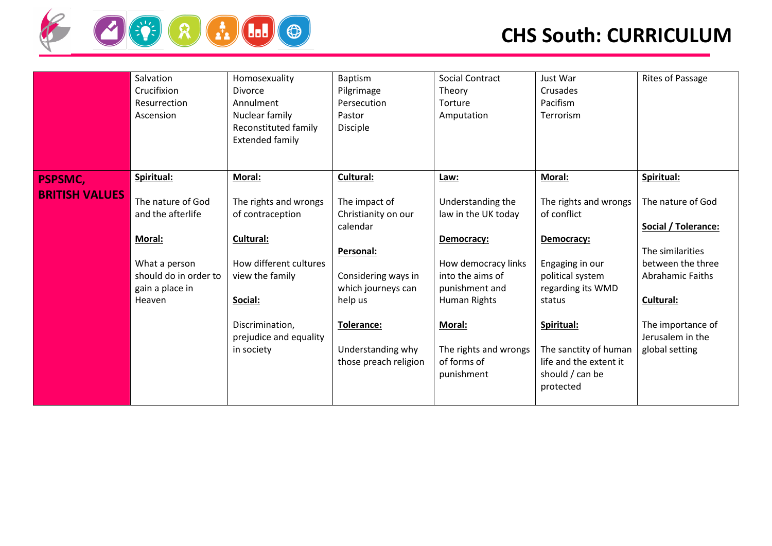

|                       | Salvation<br>Crucifixion<br>Resurrection<br>Ascension                                                                          | Homosexuality<br><b>Divorce</b><br>Annulment<br>Nuclear family<br>Reconstituted family<br>Extended family                                                                        | Baptism<br>Pilgrimage<br>Persecution<br>Pastor<br>Disciple                                                                                                                        | <b>Social Contract</b><br>Theory<br>Torture<br>Amputation                                                                                                                                                         | Just War<br>Crusades<br>Pacifism<br>Terrorism                                                                                                                                                                             | Rites of Passage                                                                                                                                                                     |
|-----------------------|--------------------------------------------------------------------------------------------------------------------------------|----------------------------------------------------------------------------------------------------------------------------------------------------------------------------------|-----------------------------------------------------------------------------------------------------------------------------------------------------------------------------------|-------------------------------------------------------------------------------------------------------------------------------------------------------------------------------------------------------------------|---------------------------------------------------------------------------------------------------------------------------------------------------------------------------------------------------------------------------|--------------------------------------------------------------------------------------------------------------------------------------------------------------------------------------|
| <b>PSPSMC,</b>        | Spiritual:                                                                                                                     | Moral:                                                                                                                                                                           | Cultural:                                                                                                                                                                         | Law:                                                                                                                                                                                                              | Moral:                                                                                                                                                                                                                    | Spiritual:                                                                                                                                                                           |
| <b>BRITISH VALUES</b> | The nature of God<br>and the afterlife<br><b>Moral:</b><br>What a person<br>should do in order to<br>gain a place in<br>Heaven | The rights and wrongs<br>of contraception<br><b>Cultural:</b><br>How different cultures<br>view the family<br>Social:<br>Discrimination,<br>prejudice and equality<br>in society | The impact of<br>Christianity on our<br>calendar<br>Personal:<br>Considering ways in<br>which journeys can<br>help us<br>Tolerance:<br>Understanding why<br>those preach religion | Understanding the<br>law in the UK today<br>Democracy:<br>How democracy links<br>into the aims of<br>punishment and<br><b>Human Rights</b><br><b>Moral:</b><br>The rights and wrongs<br>of forms of<br>punishment | The rights and wrongs<br>of conflict<br>Democracy:<br>Engaging in our<br>political system<br>regarding its WMD<br>status<br>Spiritual:<br>The sanctity of human<br>life and the extent it<br>should / can be<br>protected | The nature of God<br>Social / Tolerance:<br>The similarities<br>between the three<br><b>Abrahamic Faiths</b><br>Cultural:<br>The importance of<br>Jerusalem in the<br>global setting |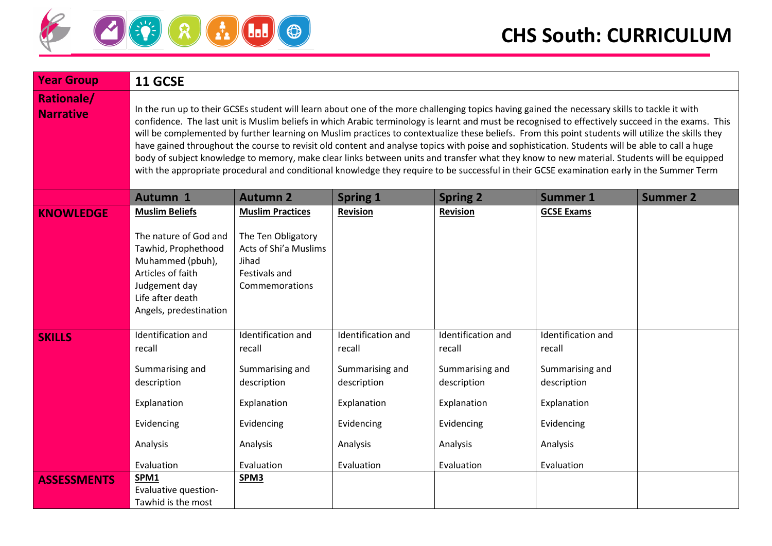

| <b>Year Group</b>                     | 11 GCSE                                                                                                                                                                                                                                                                                                                                                                                                                                                                                                                                                                                                                                                                                                                                                                                                                                                                                                  |                                                                                         |                    |                    |                    |                 |  |
|---------------------------------------|----------------------------------------------------------------------------------------------------------------------------------------------------------------------------------------------------------------------------------------------------------------------------------------------------------------------------------------------------------------------------------------------------------------------------------------------------------------------------------------------------------------------------------------------------------------------------------------------------------------------------------------------------------------------------------------------------------------------------------------------------------------------------------------------------------------------------------------------------------------------------------------------------------|-----------------------------------------------------------------------------------------|--------------------|--------------------|--------------------|-----------------|--|
| <b>Rationale/</b><br><b>Narrative</b> | In the run up to their GCSEs student will learn about one of the more challenging topics having gained the necessary skills to tackle it with<br>confidence. The last unit is Muslim beliefs in which Arabic terminology is learnt and must be recognised to effectively succeed in the exams. This<br>will be complemented by further learning on Muslim practices to contextualize these beliefs. From this point students will utilize the skills they<br>have gained throughout the course to revisit old content and analyse topics with poise and sophistication. Students will be able to call a huge<br>body of subject knowledge to memory, make clear links between units and transfer what they know to new material. Students will be equipped<br>with the appropriate procedural and conditional knowledge they require to be successful in their GCSE examination early in the Summer Term |                                                                                         |                    |                    |                    |                 |  |
|                                       | Autumn 1                                                                                                                                                                                                                                                                                                                                                                                                                                                                                                                                                                                                                                                                                                                                                                                                                                                                                                 | <b>Autumn 2</b>                                                                         | <b>Spring 1</b>    | <b>Spring 2</b>    | <b>Summer 1</b>    | <b>Summer 2</b> |  |
| <b>KNOWLEDGE</b>                      | <b>Muslim Beliefs</b>                                                                                                                                                                                                                                                                                                                                                                                                                                                                                                                                                                                                                                                                                                                                                                                                                                                                                    | <b>Muslim Practices</b>                                                                 | <b>Revision</b>    | <b>Revision</b>    | <b>GCSE Exams</b>  |                 |  |
|                                       | The nature of God and<br>Tawhid, Prophethood<br>Muhammed (pbuh),<br>Articles of faith<br>Judgement day<br>Life after death<br>Angels, predestination                                                                                                                                                                                                                                                                                                                                                                                                                                                                                                                                                                                                                                                                                                                                                     | The Ten Obligatory<br>Acts of Shi'a Muslims<br>Jihad<br>Festivals and<br>Commemorations |                    |                    |                    |                 |  |
| <b>SKILLS</b>                         | Identification and                                                                                                                                                                                                                                                                                                                                                                                                                                                                                                                                                                                                                                                                                                                                                                                                                                                                                       | Identification and                                                                      | Identification and | Identification and | Identification and |                 |  |
|                                       | recall                                                                                                                                                                                                                                                                                                                                                                                                                                                                                                                                                                                                                                                                                                                                                                                                                                                                                                   | recall                                                                                  | recall             | recall             | recall             |                 |  |
|                                       | Summarising and                                                                                                                                                                                                                                                                                                                                                                                                                                                                                                                                                                                                                                                                                                                                                                                                                                                                                          | Summarising and                                                                         | Summarising and    | Summarising and    | Summarising and    |                 |  |
|                                       | description                                                                                                                                                                                                                                                                                                                                                                                                                                                                                                                                                                                                                                                                                                                                                                                                                                                                                              | description                                                                             | description        | description        | description        |                 |  |
|                                       | Explanation                                                                                                                                                                                                                                                                                                                                                                                                                                                                                                                                                                                                                                                                                                                                                                                                                                                                                              | Explanation                                                                             | Explanation        | Explanation        | Explanation        |                 |  |
|                                       | Evidencing                                                                                                                                                                                                                                                                                                                                                                                                                                                                                                                                                                                                                                                                                                                                                                                                                                                                                               | Evidencing                                                                              | Evidencing         | Evidencing         | Evidencing         |                 |  |
|                                       | Analysis                                                                                                                                                                                                                                                                                                                                                                                                                                                                                                                                                                                                                                                                                                                                                                                                                                                                                                 | Analysis                                                                                | Analysis           | Analysis           | Analysis           |                 |  |
|                                       | Evaluation                                                                                                                                                                                                                                                                                                                                                                                                                                                                                                                                                                                                                                                                                                                                                                                                                                                                                               | Evaluation                                                                              | Evaluation         | Evaluation         | Evaluation         |                 |  |
| <b>ASSESSMENTS</b>                    | SPM1                                                                                                                                                                                                                                                                                                                                                                                                                                                                                                                                                                                                                                                                                                                                                                                                                                                                                                     | SPM <sub>3</sub>                                                                        |                    |                    |                    |                 |  |
|                                       | Evaluative question-<br>Tawhid is the most                                                                                                                                                                                                                                                                                                                                                                                                                                                                                                                                                                                                                                                                                                                                                                                                                                                               |                                                                                         |                    |                    |                    |                 |  |
|                                       |                                                                                                                                                                                                                                                                                                                                                                                                                                                                                                                                                                                                                                                                                                                                                                                                                                                                                                          |                                                                                         |                    |                    |                    |                 |  |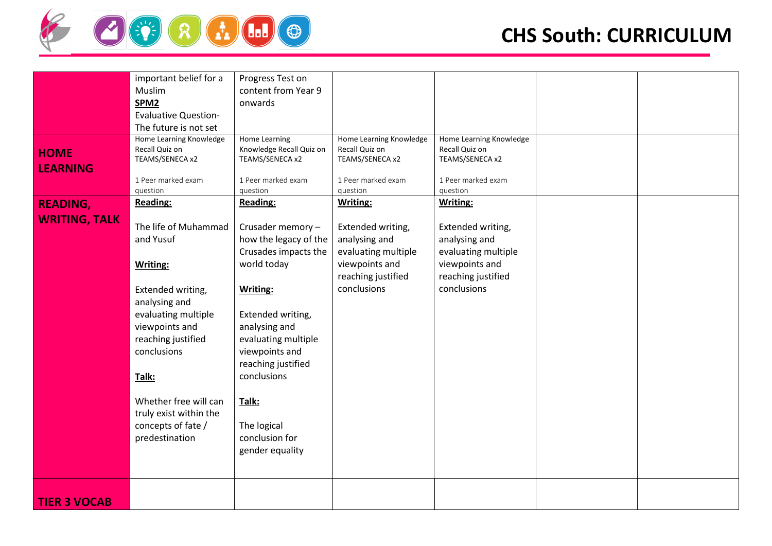

|                      | important belief for a      | Progress Test on                            |                         |                         |  |
|----------------------|-----------------------------|---------------------------------------------|-------------------------|-------------------------|--|
|                      |                             |                                             |                         |                         |  |
|                      | Muslim                      | content from Year 9                         |                         |                         |  |
|                      | SPM <sub>2</sub>            | onwards                                     |                         |                         |  |
|                      | <b>Evaluative Question-</b> |                                             |                         |                         |  |
|                      | The future is not set       |                                             |                         |                         |  |
|                      | Home Learning Knowledge     | Home Learning                               | Home Learning Knowledge | Home Learning Knowledge |  |
|                      | Recall Quiz on              |                                             | Recall Quiz on          | Recall Quiz on          |  |
| <b>HOME</b>          | TEAMS/SENECA x2             | Knowledge Recall Quiz on<br>TEAMS/SENECA x2 | TEAMS/SENECA x2         | TEAMS/SENECA x2         |  |
| <b>LEARNING</b>      |                             |                                             |                         |                         |  |
|                      |                             |                                             |                         |                         |  |
|                      | 1 Peer marked exam          | 1 Peer marked exam                          | 1 Peer marked exam      | 1 Peer marked exam      |  |
|                      | question                    | question                                    | question                | question                |  |
| <b>READING,</b>      | Reading:                    | Reading:                                    | Writing:                | Writing:                |  |
| <b>WRITING, TALK</b> |                             |                                             |                         |                         |  |
|                      | The life of Muhammad        | Crusader memory -                           | Extended writing,       | Extended writing,       |  |
|                      | and Yusuf                   | how the legacy of the                       | analysing and           | analysing and           |  |
|                      |                             | Crusades impacts the                        | evaluating multiple     | evaluating multiple     |  |
|                      |                             |                                             |                         |                         |  |
|                      | <b>Writing:</b>             | world today                                 | viewpoints and          | viewpoints and          |  |
|                      |                             |                                             | reaching justified      | reaching justified      |  |
|                      | Extended writing,           | <b>Writing:</b>                             | conclusions             | conclusions             |  |
|                      | analysing and               |                                             |                         |                         |  |
|                      |                             |                                             |                         |                         |  |
|                      | evaluating multiple         | Extended writing,                           |                         |                         |  |
|                      | viewpoints and              | analysing and                               |                         |                         |  |
|                      | reaching justified          | evaluating multiple                         |                         |                         |  |
|                      | conclusions                 | viewpoints and                              |                         |                         |  |
|                      |                             | reaching justified                          |                         |                         |  |
|                      |                             | conclusions                                 |                         |                         |  |
|                      | Talk:                       |                                             |                         |                         |  |
|                      |                             |                                             |                         |                         |  |
|                      | Whether free will can       | Talk:                                       |                         |                         |  |
|                      | truly exist within the      |                                             |                         |                         |  |
|                      | concepts of fate /          | The logical                                 |                         |                         |  |
|                      | predestination              | conclusion for                              |                         |                         |  |
|                      |                             |                                             |                         |                         |  |
|                      |                             | gender equality                             |                         |                         |  |
|                      |                             |                                             |                         |                         |  |
|                      |                             |                                             |                         |                         |  |
|                      |                             |                                             |                         |                         |  |
|                      |                             |                                             |                         |                         |  |
| <b>TIER 3 VOCAB</b>  |                             |                                             |                         |                         |  |